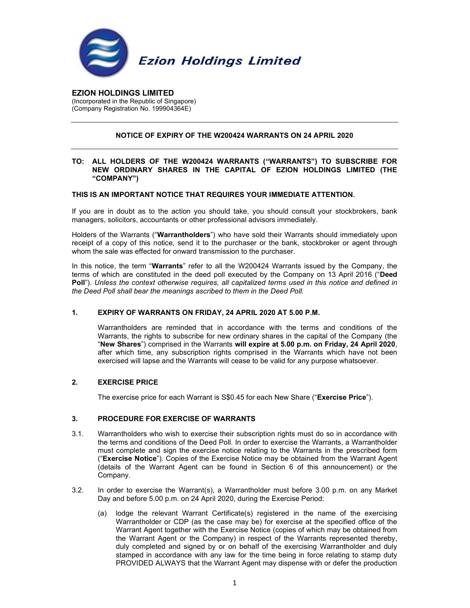

EZION HOLDINGS LIMITED (Incorporated in the Republic of Singapore) (Company Registration No. 199904364E)

# NOTICE OF EXPIRY OF THE W200424 WARRANTS ON 24 APRIL 2020

## TO: ALL HOLDERS OF THE W200424 WARRANTS ("WARRANTS") TO SUBSCRIBE FOR NEW ORDINARY SHARES IN THE CAPITAL OF EZION HOLDINGS LIMITED (THE "COMPANY")

#### THIS IS AN IMPORTANT NOTICE THAT REQUIRES YOUR IMMEDIATE ATTENTION.

If you are in doubt as to the action you should take, you should consult your stockbrokers, bank managers, solicitors, accountants or other professional advisors immediately.

Holders of the Warrants ("Warrantholders") who have sold their Warrants should immediately upon receipt of a copy of this notice, send it to the purchaser or the bank, stockbroker or agent through whom the sale was effected for onward transmission to the purchaser.

In this notice, the term "Warrants" refer to all the W200424 Warrants issued by the Company, the terms of which are constituted in the deed poll executed by the Company on 13 April 2016 ("Deed Poll"). Unless the context otherwise requires, all capitalized terms used in this notice and defined in the Deed Poll shall bear the meanings ascribed to them in the Deed Poll.

#### 1. EXPIRY OF WARRANTS ON FRIDAY, 24 APRIL 2020 AT 5.00 P.M.

Warrantholders are reminded that in accordance with the terms and conditions of the Warrants, the rights to subscribe for new ordinary shares in the capital of the Company (the "New Shares") comprised in the Warrants will expire at 5.00 p.m. on Friday, 24 April 2020, after which time, any subscription rights comprised in the Warrants which have not been exercised will lapse and the Warrants will cease to be valid for any purpose whatsoever.

#### 2. EXERCISE PRICE

The exercise price for each Warrant is S\$0.45 for each New Share ("Exercise Price").

## 3. PROCEDURE FOR EXERCISE OF WARRANTS

- 3.1. Warrantholders who wish to exercise their subscription rights must do so in accordance with the terms and conditions of the Deed Poll. In order to exercise the Warrants, a Warrantholder must complete and sign the exercise notice relating to the Warrants in the prescribed form ("Exercise Notice"). Copies of the Exercise Notice may be obtained from the Warrant Agent (details of the Warrant Agent can be found in Section 6 of this announcement) or the Company.
- 3.2. In order to exercise the Warrant(s), a Warrantholder must before 3.00 p.m. on any Market Day and before 5.00 p.m. on 24 April 2020, during the Exercise Period:
	- (a) lodge the relevant Warrant Certificate(s) registered in the name of the exercising Warrantholder or CDP (as the case may be) for exercise at the specified office of the Warrant Agent together with the Exercise Notice (copies of which may be obtained from the Warrant Agent or the Company) in respect of the Warrants represented thereby, duly completed and signed by or on behalf of the exercising Warrantholder and duly stamped in accordance with any law for the time being in force relating to stamp duty PROVIDED ALWAYS that the Warrant Agent may dispense with or defer the production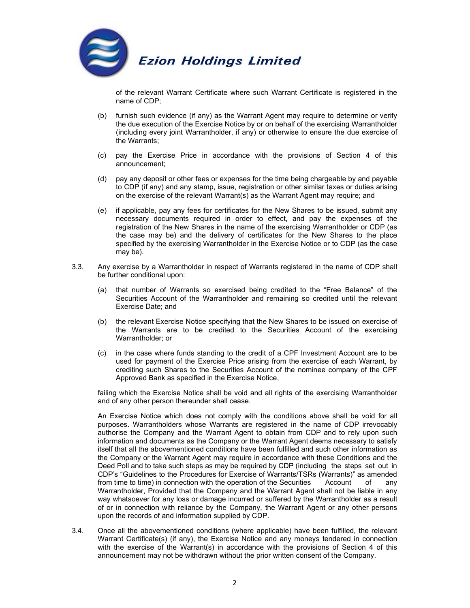

of the relevant Warrant Certificate where such Warrant Certificate is registered in the name of CDP;

- (b) furnish such evidence (if any) as the Warrant Agent may require to determine or verify the due execution of the Exercise Notice by or on behalf of the exercising Warrantholder (including every joint Warrantholder, if any) or otherwise to ensure the due exercise of the Warrants;
- (c) pay the Exercise Price in accordance with the provisions of Section 4 of this announcement;
- (d) pay any deposit or other fees or expenses for the time being chargeable by and payable to CDP (if any) and any stamp, issue, registration or other similar taxes or duties arising on the exercise of the relevant Warrant(s) as the Warrant Agent may require; and
- (e) if applicable, pay any fees for certificates for the New Shares to be issued, submit any necessary documents required in order to effect, and pay the expenses of the registration of the New Shares in the name of the exercising Warrantholder or CDP (as the case may be) and the delivery of certificates for the New Shares to the place specified by the exercising Warrantholder in the Exercise Notice or to CDP (as the case may be).
- 3.3. Any exercise by a Warrantholder in respect of Warrants registered in the name of CDP shall be further conditional upon:
	- (a) that number of Warrants so exercised being credited to the "Free Balance" of the Securities Account of the Warrantholder and remaining so credited until the relevant Exercise Date; and
	- (b) the relevant Exercise Notice specifying that the New Shares to be issued on exercise of the Warrants are to be credited to the Securities Account of the exercising Warrantholder; or
	- (c) in the case where funds standing to the credit of a CPF Investment Account are to be used for payment of the Exercise Price arising from the exercise of each Warrant, by crediting such Shares to the Securities Account of the nominee company of the CPF Approved Bank as specified in the Exercise Notice,

 failing which the Exercise Notice shall be void and all rights of the exercising Warrantholder and of any other person thereunder shall cease.

An Exercise Notice which does not comply with the conditions above shall be void for all purposes. Warrantholders whose Warrants are registered in the name of CDP irrevocably authorise the Company and the Warrant Agent to obtain from CDP and to rely upon such information and documents as the Company or the Warrant Agent deems necessary to satisfy itself that all the abovementioned conditions have been fulfilled and such other information as the Company or the Warrant Agent may require in accordance with these Conditions and the Deed Poll and to take such steps as may be required by CDP (including the steps set out in CDP's "Guidelines to the Procedures for Exercise of Warrants/TSRs (Warrants)" as amended from time to time) in connection with the operation of the Securities Account of any Warrantholder, Provided that the Company and the Warrant Agent shall not be liable in any way whatsoever for any loss or damage incurred or suffered by the Warrantholder as a result of or in connection with reliance by the Company, the Warrant Agent or any other persons upon the records of and information supplied by CDP.

3.4. Once all the abovementioned conditions (where applicable) have been fulfilled, the relevant Warrant Certificate(s) (if any), the Exercise Notice and any moneys tendered in connection with the exercise of the Warrant(s) in accordance with the provisions of Section 4 of this announcement may not be withdrawn without the prior written consent of the Company.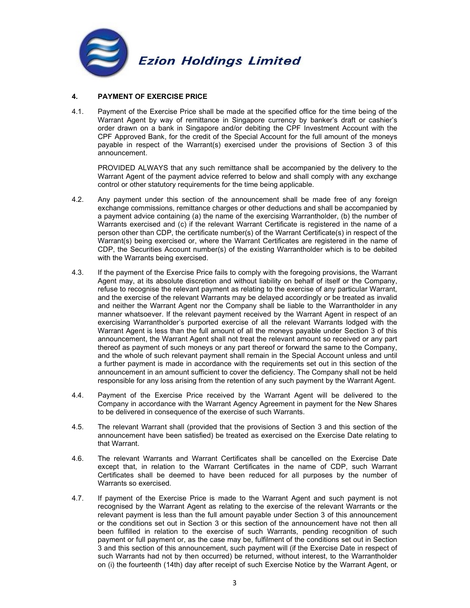

# 4. PAYMENT OF EXERCISE PRICE

4.1. Payment of the Exercise Price shall be made at the specified office for the time being of the Warrant Agent by way of remittance in Singapore currency by banker's draft or cashier's order drawn on a bank in Singapore and/or debiting the CPF Investment Account with the CPF Approved Bank, for the credit of the Special Account for the full amount of the moneys payable in respect of the Warrant(s) exercised under the provisions of Section 3 of this announcement.

PROVIDED ALWAYS that any such remittance shall be accompanied by the delivery to the Warrant Agent of the payment advice referred to below and shall comply with any exchange control or other statutory requirements for the time being applicable.

- 4.2. Any payment under this section of the announcement shall be made free of any foreign exchange commissions, remittance charges or other deductions and shall be accompanied by a payment advice containing (a) the name of the exercising Warrantholder, (b) the number of Warrants exercised and (c) if the relevant Warrant Certificate is registered in the name of a person other than CDP, the certificate number(s) of the Warrant Certificate(s) in respect of the Warrant(s) being exercised or, where the Warrant Certificates are registered in the name of CDP, the Securities Account number(s) of the existing Warrantholder which is to be debited with the Warrants being exercised.
- 4.3. If the payment of the Exercise Price fails to comply with the foregoing provisions, the Warrant Agent may, at its absolute discretion and without liability on behalf of itself or the Company, refuse to recognise the relevant payment as relating to the exercise of any particular Warrant, and the exercise of the relevant Warrants may be delayed accordingly or be treated as invalid and neither the Warrant Agent nor the Company shall be liable to the Warrantholder in any manner whatsoever. If the relevant payment received by the Warrant Agent in respect of an exercising Warrantholder's purported exercise of all the relevant Warrants lodged with the Warrant Agent is less than the full amount of all the moneys payable under Section 3 of this announcement, the Warrant Agent shall not treat the relevant amount so received or any part thereof as payment of such moneys or any part thereof or forward the same to the Company, and the whole of such relevant payment shall remain in the Special Account unless and until a further payment is made in accordance with the requirements set out in this section of the announcement in an amount sufficient to cover the deficiency. The Company shall not be held responsible for any loss arising from the retention of any such payment by the Warrant Agent.
- 4.4. Payment of the Exercise Price received by the Warrant Agent will be delivered to the Company in accordance with the Warrant Agency Agreement in payment for the New Shares to be delivered in consequence of the exercise of such Warrants.
- 4.5. The relevant Warrant shall (provided that the provisions of Section 3 and this section of the announcement have been satisfied) be treated as exercised on the Exercise Date relating to that Warrant.
- 4.6. The relevant Warrants and Warrant Certificates shall be cancelled on the Exercise Date except that, in relation to the Warrant Certificates in the name of CDP, such Warrant Certificates shall be deemed to have been reduced for all purposes by the number of Warrants so exercised.
- 4.7. If payment of the Exercise Price is made to the Warrant Agent and such payment is not recognised by the Warrant Agent as relating to the exercise of the relevant Warrants or the relevant payment is less than the full amount payable under Section 3 of this announcement or the conditions set out in Section 3 or this section of the announcement have not then all been fulfilled in relation to the exercise of such Warrants, pending recognition of such payment or full payment or, as the case may be, fulfilment of the conditions set out in Section 3 and this section of this announcement, such payment will (if the Exercise Date in respect of such Warrants had not by then occurred) be returned, without interest, to the Warrantholder on (i) the fourteenth (14th) day after receipt of such Exercise Notice by the Warrant Agent, or